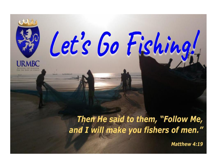

Then He said to them, "Follow Me, and I will make you fishers of men."

Let's Go Fishing!

Matthew 4:19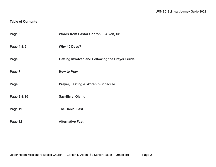## **Table of Contents**

| Page 3      | Words from Pastor Carlton L. Aiken, Sr.                |
|-------------|--------------------------------------------------------|
| Page 4 & 5  | Why 40 Days?                                           |
| Page 6      | <b>Getting Involved and Following the Prayer Guide</b> |
| Page 7      | <b>How to Pray</b>                                     |
| Page 8      | <b>Prayer, Fasting &amp; Worship Schedule</b>          |
| Page 9 & 10 | <b>Sacrificial Giving</b>                              |
| Page 11     | <b>The Daniel Fast</b>                                 |
| Page 12     | <b>Alternative Fast</b>                                |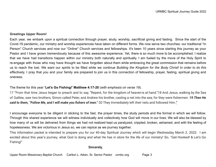### **Greetings Upper Room!**

Each year, we embark upon a spiritual connection through prayer, study, worship, sacrificial giving and fasting. Since the start of the Covid-19 pandemic, our ministry and worship experiences have taken on different forms. We now serve two churches: our traditional "In Person" Church services and now our "Online'' Church services and fellowships. It's been 10 years since starting this journey as your Pastor and I have grown tremendously because of this awesome experience. Yet, there is so much more to be accomplished. I realize that we have had transitions happen within our ministry both naturally and spiritually. I am fueled by the move of the Holy Spirit to re-engage with those who may have thought we have forgotten about them while embracing the great commission that remains before us to reach the lost. We want our spirits to be filled while we continue *Building the Kingdom for the Body Christ! In order to do this effectively,* I pray that you and your family are prepared to join us in this connection of fellowship, prayer, fasting, spiritual giving and oneness.

### The theme for this year **'Let's Go Fishing!' Matthew 4:17-20** (*with emphasis on verse 19*).

17 "From that time Jesus began to preach and to say, "Repent, for the kingdom of heaven is at hand."18 And Jesus, walking by the Sea of Galilee, saw two brothers, Simon called Peter, and Andrew his brother, casting a net into the sea; for they were fishermen. *19 Then He said to them, "Follow Me, and I will make you fishers of men."* 20 They immediately left *their* nets and followed Him.*"*

I encourage everyone to be diligent in sticking to the fast, the prayer times, the study periods and the format in which we will follow. Through this shared experience we will witness individually and collectively how God will move in our lives. We will also be blessed by how many of us will be delivered from things we had not realized kept us paralyzed, crippled, broken, ashamed, and with the feeling of hopelessness. We are victorious in Jesus so, we can rejoice as we journey together.

This information packet is intended to prepare you for our 40-day Spiritual Journey which will begin Wednesday March 2, 2022. I am excited about this year's journey, what God is doing and what He has in store for the life of our ministry! So, "Get Hooked! & Let's Go Fishing!"

#### **Sincerely,**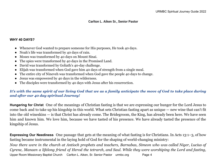## **Carlton L. Aiken Sr., Senior Pastor**

## **WHY 40 DAYS?**

- Whenever God wanted to prepare someone for His purposes, He took 40 days.
- Noah's life was transformed by 40 days of rain.
- Moses was transformed by 40 days on Mount Sinai.
- The spies were transformed by 40 days in the Promised Land.
- David was transformed by Goliath's 40-day challenge.
- Elijah was transformed when God gave him 40 days of strength from a single meal.
- The entire city of Nineveh was transformed when God gave the people 40 days to change.
- Jesus was empowered by 40 days in the wilderness.
- The disciples were transformed by 40 days with Jesus after his resurrection.

# It's with the same spirit of our living God that we as a family anticipate the move of God to take place during *and after our 40 day spiritual Journey!*

**Hungering for Christ** One of the meanings of Christian fasting is that we are expressing our hunger for the Lord Jesus to come back and to take up his kingship in this world. What sets Christian fasting apart as unique — new wine that can't fit into the old wineskins — is that Christ has already come. The Bridegroom, the King, has already been here. We have seen him and known him. We love him, because we have tasted of his presence. We have already tasted the presence of the kingship of Jesus.

**Expressing Our Neediness** One passage that gets at the meaning of what fasting is for Christians. In Acts [13:1–3,](https://biblia.com/bible/esv/Acts%2013.1%E2%80%933) of how fasting became instrumental in the laying hold of God for the shaping of world-changing ministry: Now there were in the church at Antioch prophets and teachers, Barnabas, Simeon who was called Niaer, Lucius of Cyrene, Manaen a lifelong friend of Herod the tetrarch, and Saul. While they were worshiping the Lord and fasting,

Upper Room Missionary Baptist Church Carlton L. Aiken, Sr. Senior Pastor urmbc.org Page 4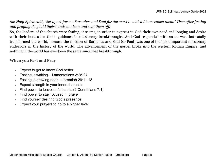the Holy Spirit said, "Set apart for me Barnabas and Saul for the work to which I have called them." Then after fasting *and praying they laid their hands on them and sent them off.*

So, the leaders of the church were fasting, it seems, in order to express to God their own need and longing and desire with their bodies for God's guidance in missionary breakthroughs. And God responded with an answer that totally transformed the world, because the mission of Barnabas and Saul (or Paul) was one of the most important missionary endeavors in the history of the world. The advancement of the gospel broke into the western Roman Empire, and nothing in the world has ever been the same since that breakthrough.

## **When you Fast and Pray**

- Expect to get to know God better
- Fasting is waiting  $-$  Lamentations 3:25-27
- Fasting is drawing near Jeremiah  $29:11-13$
- Expect strength in your inner character
- Find power to leave sinful habits (2 Corinthians 7:1)
- Find power to stay focused in prayer
- Find yourself desiring God's presence
- Expect your prayers to go to a higher level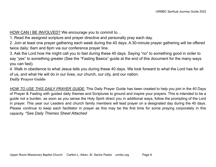HOW CAN I BE INVOLVED? We encourage you to commit to…

1. Read the assigned scripture and prayer directive and personally pray each day.

2. Join at least one prayer gathering each week during the 40 days. A 30-minute prayer gathering will be offered twice daily: 6am and 6pm via our conference prayer line.

3. Ask the Lord how He might call you to fast during these 40 days. Saying "no" to something good in order to say "yes" to something greater (See the "Fasting Basics" guide at the end of this document for the many ways you can fast).

4. Walk in obedience to what Jesus tells you during these 40 days. We look forward to what the Lord has for all of us, and what He will do in our lives, our church, our city, and our nation.

**Daily Prayer Guide**

*HOW TO USE THIS DAILY PRAYER GUIDE:* This Daily Prayer Guide has been created to help you join in the 40 Days of Prayer & Fasting with guided daily themes and Scriptures to ground and inspire your prayers. This is intended to be a guide not a burden, as soon as you sense the Holy Spirit direct you in additional ways, follow the prompting of the Lord in prayer. This year our Leaders and church family members will lead prayer on a designated day during the 40 days. Please continue to keep each facilitator in prayer as this may be the first time for some praying corporately in this capacity. *\*See Daily Themes Sheet Attached*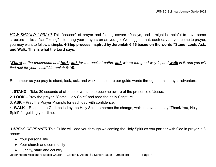*HOW SHOULD I PRAY?* This "season" of prayer and fasting covers 40 days, and it might be helpful to have some structure – like a "scaffolding'' – to hang your prayers on as you go. We suggest that, each day as you come to prayer, you may want to follow a simple, **4-Step process inspired by Jeremiah 6:16 based on the words "Stand, Look, Ask, and Walk: This is what the Lord says:**

"Stand at the crossroads and look; ask for the ancient paths, ask where the good way is, and walk in it, and you will *find rest for your souls" (Jeremiah 6:16).*

Remember as you pray to stand, look, ask, and walk – these are our guide words throughout this prayer adventure.

- 1. **STAND** Take 30 seconds of silence or worship to become aware of the presence of Jesus.
- 2. **LOOK** Pray the prayer, "Come, Holy Spirit" and read the daily Scripture.
- 3. **ASK** Pray the Prayer Prompts for each day with confidence.

4. **WALK** – Respond to God, be led by the Holy Spirit, embrace the change, walk in Love and say "Thank You, Holy Spirit" for guiding your time.

*3 AREAS OF PRAYER* This Guide will lead you through welcoming the Holy Spirit as you partner with God in prayer in 3 areas:

- Your personal life
- Your church and community
- Our city, state and country

Upper Room Missionary Baptist Church Carlton L. Aiken, Sr. Senior Pastor urmbc.org Page 7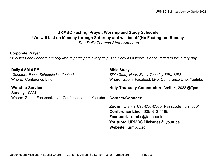# **URMBC Fasting, Prayer, Worship and Study Schedule \*We will fast on Monday through Saturday and will be off (No Fasting) on Sunday** *\*See Daily Themes Sheet Attached*

## **Corporate Prayer**

*\*Ministers and Leaders are required to participate every day. The Body as a whole is encouraged to join every day.*

| Daily 6 AM-6 PM<br>*Scripture Focus Schedule is attached<br><b>Where: Conference Line</b> | <b>Bible Study</b><br><b>Bible Study Hour: Every Tuesday 7PM-8PM</b><br>Where: Zoom, Facebook Live, Conference Line, Youtube                                                               |
|-------------------------------------------------------------------------------------------|--------------------------------------------------------------------------------------------------------------------------------------------------------------------------------------------|
| <b>Worship Service</b><br>Sunday 10AM                                                     | Holy Thursday Communion-April 14, 2022 @7pm                                                                                                                                                |
| Where: Zoom, Facebook Live, Conference Line, Youtube                                      | <b>Contact/Connect:</b>                                                                                                                                                                    |
|                                                                                           | <b>Zoom:</b> Dial-in 898-036-0365 Passcode: urmbc01<br><b>Conference Line: 605-313-4185</b><br>Facebook: urmbc@facebook<br><b>Youtube: URMBC Ministries@ youtube</b><br>Website: urmbc.org |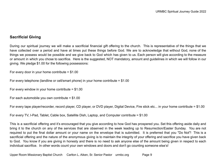# **Sacrificial Giving**

During our spiritual journey we will make a sacrificial financial gift offering to the church. This is representative of the things that we have collected over a period and have at times put these things before God. We are to acknowledge that without God, none of the things we possess would be possible and we give back to God which has given to us. Each person will give according to the measure or amount in which you chose to sacrifice. Here is the suggested, NOT mandatory, amount and guidelines in which we will follow in our giving. We pledge \$1.00 for the following possessions:

For every door in your home contribute = \$1.00

For every telephone (landline or cell/smart phone) in your home contribute = \$1.00

For every window in your home contribute  $= $1.00$ 

```
For each automobile you own contribute = $1.00
```
For every tape player/recorder, record player, CD player, or DVD player, Digital Device, Fire stick etc... in your home contribute = \$1.00

For every TV, I-Pad, Tablet, Cable box, Satellite Dish, Laptop, and Computer contribute = \$1.00

This is a sacrificial offering and it's encouraged that you give according to how God has prospered you. Set this offering aside daily and bring it to the church on any of the services that are observed in the week leading up to Resurrection/Easter Sunday. You are not required to put the final dollar amount or your name on the envelope that is submitted. It is preferred that you "Do Not"! This is a sacrificial offering and the nature of the anonymous giving is to maintain the integrity of your offering and sacrifice you have given back to God. You know if you are giving in honesty and there is no need to ask anyone else of the amount being given in respect to each individual sacrifice. In other words count your own windows and doors and don't go counting someone else's!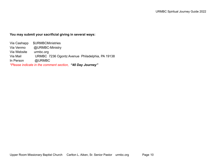## **You may submit your sacrificial giving in several ways:**

Via Cashapp \$URMBCMinistries Via Venmo @URMBC-Ministry Via Website urmbc.org Via Mail URMBC 7236 Ogontz Avenue Philadelphia, PA 19138 In Person @URMBC *\*Please indicate in the comment section, "40 Day Journey"*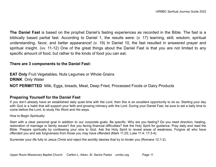**The Daniel Fast** is based on the prophet Daniel's fasting experiences as recorded in the Bible. The fast is a biblically based partial fast. According to Daniel 1, the results were: (v. 17) learning, skill, wisdom, spiritual understanding, favor, and better appearance! (v. 19) In Daniel 10, the fast resulted in answered prayer and spiritual insight. (vv. 11-12) One of the great things about the Daniel Fast is that you are not limited to any specific amount of food, but rather to the kinds of food you can eat.

## **There are 3 components to the Daniel Fast:**

**EAT Only** Fruit Vegetables, Nuts Legumes or Whole Grains **DRINK** Only Water **NOT PERMITTED** Milk, Eggs, breads, Meat, Deep Fried, Processed Foods or Dairy Products

# **Preparing Yourself for the Daniel Fast**

If you don't already have an established daily quiet time with the Lord, then this is an excellent opportunity to do so. Starting your day with God is a habit that will support your faith and growing intimacy with the Lord. During your Daniel Fast, be sure to set a daily time to come before the Lord, to study His Word and His ways.

How to Begin Spiritually:

Start with a clear personal goal in addition to our corporate goals. Be specific. Why are you fasting? Do you need direction, healing, restoration of marriage or family issues? Are you facing financial difficulties? Ask the Holy Spirit for guidance. Pray daily and read the Bible. Prepare spiritually by confessing your sins to God. Ask the Holy Spirit to reveal areas of weakness. Forgive all who have offended you and ask forgiveness from those you may have offended (Mark 11:25; Luke 11:4; 17:3-4).

Surrender your life fully to Jesus Christ and reject the worldly desires that try to hinder you (Romans 12:1-2).